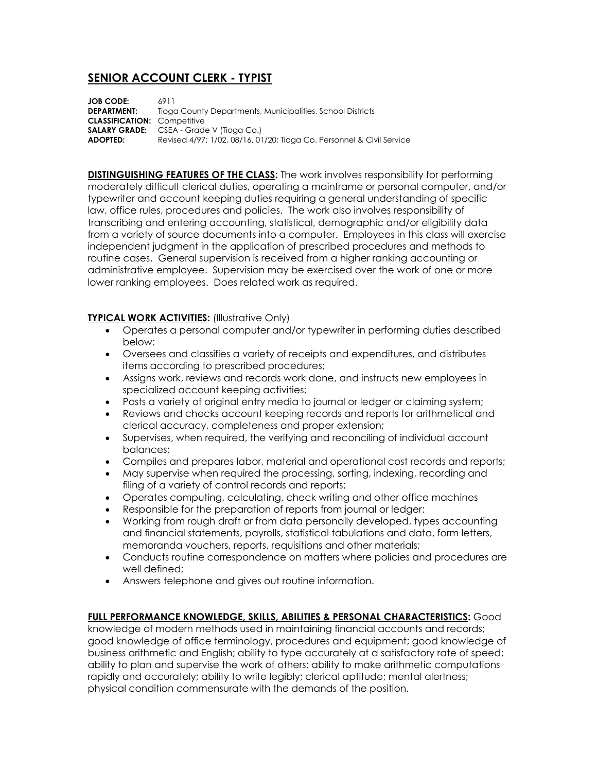## **SENIOR ACCOUNT CLERK - TYPIST**

**JOB CODE:** 6911 **DEPARTMENT:** Tioga County Departments, Municipalities, School Districts **CLASSIFICATION:** Competitive **SALARY GRADE:** CSEA - Grade V (Tioga Co.) **ADOPTED:** Revised 4/97; 1/02, 08/16, 01/20; Tioga Co. Personnel & Civil Service

**DISTINGUISHING FEATURES OF THE CLASS:** The work involves responsibility for performing moderately difficult clerical duties, operating a mainframe or personal computer, and/or typewriter and account keeping duties requiring a general understanding of specific law, office rules, procedures and policies. The work also involves responsibility of transcribing and entering accounting, statistical, demographic and/or eligibility data from a variety of source documents into a computer. Employees in this class will exercise independent judgment in the application of prescribed procedures and methods to routine cases. General supervision is received from a higher ranking accounting or administrative employee. Supervision may be exercised over the work of one or more lower ranking employees. Does related work as required.

## **TYPICAL WORK ACTIVITIES:** (Illustrative Only)

- Operates a personal computer and/or typewriter in performing duties described below:
- Oversees and classifies a variety of receipts and expenditures, and distributes items according to prescribed procedures;
- Assigns work, reviews and records work done, and instructs new employees in specialized account keeping activities;
- Posts a variety of original entry media to journal or ledger or claiming system;
- Reviews and checks account keeping records and reports for arithmetical and clerical accuracy, completeness and proper extension;
- Supervises, when required, the verifying and reconciling of individual account balances;
- Compiles and prepares labor, material and operational cost records and reports;
- May supervise when required the processing, sorting, indexing, recording and filing of a variety of control records and reports;
- Operates computing, calculating, check writing and other office machines
- Responsible for the preparation of reports from journal or ledger;
- Working from rough draft or from data personally developed, types accounting and financial statements, payrolls, statistical tabulations and data, form letters, memoranda vouchers, reports, requisitions and other materials;
- Conducts routine correspondence on matters where policies and procedures are well defined;
- Answers telephone and gives out routine information.

**FULL PERFORMANCE KNOWLEDGE, SKILLS, ABILITIES & PERSONAL CHARACTERISTICS:** Good knowledge of modern methods used in maintaining financial accounts and records; good knowledge of office terminology, procedures and equipment; good knowledge of business arithmetic and English; ability to type accurately at a satisfactory rate of speed; ability to plan and supervise the work of others; ability to make arithmetic computations rapidly and accurately; ability to write legibly; clerical aptitude; mental alertness; physical condition commensurate with the demands of the position.